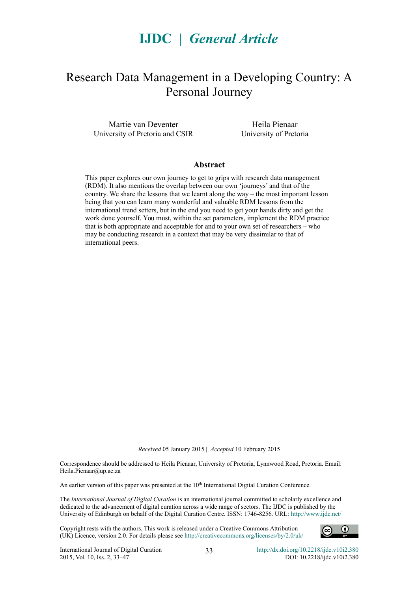# **IJDC |** *General Article*

## Research Data Management in a Developing Country: A Personal Journey

Martie van Deventer University of Pretoria and CSIR

Heila Pienaar University of Pretoria

#### **Abstract**

This paper explores our own journey to get to grips with research data management (RDM). It also mentions the overlap between our own 'journeys' and that of the country. We share the lessons that we learnt along the way – the most important lesson being that you can learn many wonderful and valuable RDM lessons from the international trend setters, but in the end you need to get your hands dirty and get the work done yourself. You must, within the set parameters, implement the RDM practice that is both appropriate and acceptable for and to your own set of researchers – who may be conducting research in a context that may be very dissimilar to that of international peers.

*Received* 05 January 2015 | *Accepted* 10 February 2015

Correspondence should be addressed to Heila Pienaar, University of Pretoria, Lynnwood Road, Pretoria. Email: Heila.Pienaar@up.ac.za

An earlier version of this paper was presented at the 10<sup>th</sup> International Digital Curation Conference.

The *International Journal of Digital Curation* is an international journal committed to scholarly excellence and dedicated to the advancement of digital curation across a wide range of sectors. The IJDC is published by the University of Edinburgh on behalf of the Digital Curation Centre. ISSN: 1746-8256. URL:<http://www.ijdc.net/>

Copyright rests with the authors. This work is released under a Creative Commons Attribution (UK) Licence, version 2.0. For details please see<http://creativecommons.org/licenses/by/2.0/uk/>



33 <http://dx.doi.org/10.2218/ijdc.v10i2.380> DOI: 10.2218/ijdc.v10i2.380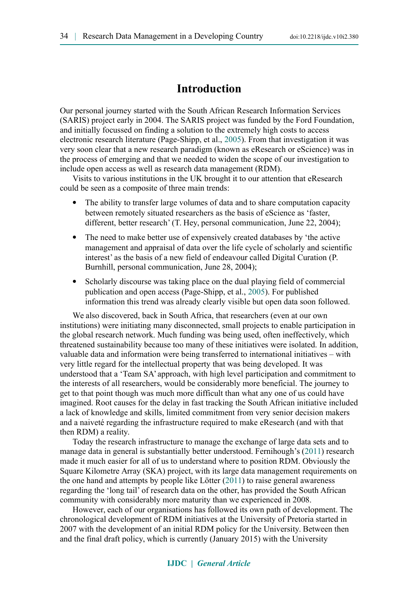### **Introduction**

Our personal journey started with the South African Research Information Services (SARIS) project early in 2004. The SARIS project was funded by the Ford Foundation, and initially focussed on finding a solution to the extremely high costs to access electronic research literature (Page-Shipp, et al., [2005\)](#page-13-0). From that investigation it was very soon clear that a new research paradigm (known as eResearch or eScience) was in the process of emerging and that we needed to widen the scope of our investigation to include open access as well as research data management (RDM).

Visits to various institutions in the UK brought it to our attention that eResearch could be seen as a composite of three main trends:

- The ability to transfer large volumes of data and to share computation capacity between remotely situated researchers as the basis of eScience as 'faster, different, better research' (T. Hey, personal communication, June 22, 2004);
- The need to make better use of expensively created databases by 'the active management and appraisal of data over the life cycle of scholarly and scientific interest' as the basis of a new field of endeavour called Digital Curation (P. Burnhill, personal communication, June 28, 2004);
- Scholarly discourse was taking place on the dual playing field of commercial publication and open access (Page-Shipp, et al., [2005\)](#page-13-0). For published information this trend was already clearly visible but open data soon followed.

We also discovered, back in South Africa, that researchers (even at our own institutions) were initiating many disconnected, small projects to enable participation in the global research network. Much funding was being used, often ineffectively, which threatened sustainability because too many of these initiatives were isolated. In addition, valuable data and information were being transferred to international initiatives – with very little regard for the intellectual property that was being developed. It was understood that a 'Team SA' approach, with high level participation and commitment to the interests of all researchers, would be considerably more beneficial. The journey to get to that point though was much more difficult than what any one of us could have imagined. Root causes for the delay in fast tracking the South African initiative included a lack of knowledge and skills, limited commitment from very senior decision makers and a naiveté regarding the infrastructure required to make eResearch (and with that then RDM) a reality.

Today the research infrastructure to manage the exchange of large data sets and to manage data in general is substantially better understood. Fernihough's [\(2011\)](#page-12-1) research made it much easier for all of us to understand where to position RDM. Obviously the Square Kilometre Array (SKA) project, with its large data management requirements on the one hand and attempts by people like Lötter [\(2011\)](#page-12-0) to raise general awareness regarding the 'long tail' of research data on the other, has provided the South African community with considerably more maturity than we experienced in 2008.

However, each of our organisations has followed its own path of development. The chronological development of RDM initiatives at the University of Pretoria started in 2007 with the development of an initial RDM policy for the University. Between then and the final draft policy, which is currently (January 2015) with the University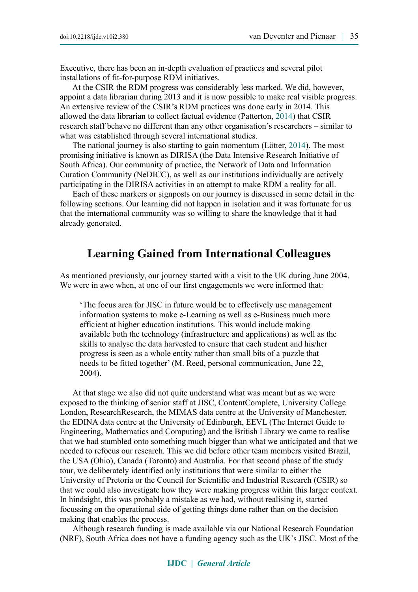Executive, there has been an in-depth evaluation of practices and several pilot installations of fit-for-purpose RDM initiatives.

At the CSIR the RDM progress was considerably less marked. We did, however, appoint a data librarian during 2013 and it is now possible to make real visible progress. An extensive review of the CSIR's RDM practices was done early in 2014. This allowed the data librarian to collect factual evidence (Patterton, [2014\)](#page-13-2) that CSIR research staff behave no different than any other organisation's researchers – similar to what was established through several international studies.

The national journey is also starting to gain momentum (Lötter, [2014\)](#page-13-1). The most promising initiative is known as DIRISA (the Data Intensive Research Initiative of South Africa). Our community of practice, the Network of Data and Information Curation Community (NeDICC), as well as our institutions individually are actively participating in the DIRISA activities in an attempt to make RDM a reality for all.

Each of these markers or signposts on our journey is discussed in some detail in the following sections. Our learning did not happen in isolation and it was fortunate for us that the international community was so willing to share the knowledge that it had already generated.

### **Learning Gained from International Colleagues**

As mentioned previously, our journey started with a visit to the UK during June 2004. We were in awe when, at one of our first engagements we were informed that:

'The focus area for JISC in future would be to effectively use management information systems to make e-Learning as well as e-Business much more efficient at higher education institutions. This would include making available both the technology (infrastructure and applications) as well as the skills to analyse the data harvested to ensure that each student and his/her progress is seen as a whole entity rather than small bits of a puzzle that needs to be fitted together' (M. Reed, personal communication, June 22, 2004).

At that stage we also did not quite understand what was meant but as we were exposed to the thinking of senior staff at JISC, ContentComplete, University College London, ResearchResearch, the MIMAS data centre at the University of Manchester, the EDINA data centre at the University of Edinburgh, EEVL (The Internet Guide to Engineering, Mathematics and Computing) and the British Library we came to realise that we had stumbled onto something much bigger than what we anticipated and that we needed to refocus our research. This we did before other team members visited Brazil, the USA (Ohio), Canada (Toronto) and Australia. For that second phase of the study tour, we deliberately identified only institutions that were similar to either the University of Pretoria or the Council for Scientific and Industrial Research (CSIR) so that we could also investigate how they were making progress within this larger context. In hindsight, this was probably a mistake as we had, without realising it, started focussing on the operational side of getting things done rather than on the decision making that enables the process.

Although research funding is made available via our National Research Foundation (NRF), South Africa does not have a funding agency such as the UK's JISC. Most of the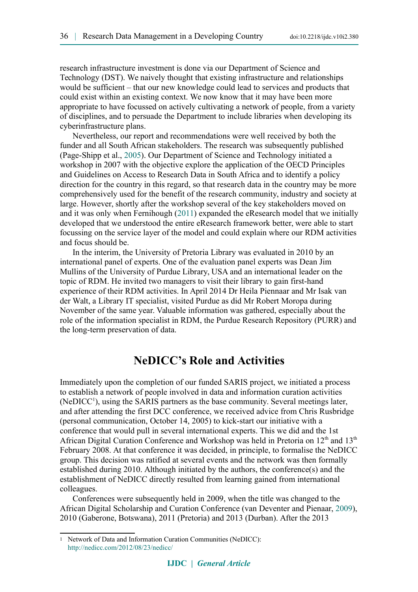research infrastructure investment is done via our Department of Science and Technology (DST). We naively thought that existing infrastructure and relationships would be sufficient – that our new knowledge could lead to services and products that could exist within an existing context. We now know that it may have been more appropriate to have focussed on actively cultivating a network of people, from a variety of disciplines, and to persuade the Department to include libraries when developing its cyberinfrastructure plans.

Nevertheless, our report and recommendations were well received by both the funder and all South African stakeholders. The research was subsequently published (Page-Shipp et al., [2005\)](#page-13-0). Our Department of Science and Technology initiated a workshop in 2007 with the objective explore the application of the OECD Principles and Guidelines on Access to Research Data in South Africa and to identify a policy direction for the country in this regard, so that research data in the country may be more comprehensively used for the benefit of the research community, industry and society at large. However, shortly after the workshop several of the key stakeholders moved on and it was only when Fernihough [\(2011\)](#page-12-1) expanded the eResearch model that we initially developed that we understood the entire eResearch framework better, were able to start focussing on the service layer of the model and could explain where our RDM activities and focus should be.

In the interim, the University of Pretoria Library was evaluated in 2010 by an international panel of experts. One of the evaluation panel experts was Dean Jim Mullins of the University of Purdue Library, USA and an international leader on the topic of RDM. He invited two managers to visit their library to gain first-hand experience of their RDM activities. In April 2014 Dr Heila Piennaar and Mr Isak van der Walt, a Library IT specialist, visited Purdue as did Mr Robert Moropa during November of the same year. Valuable information was gathered, especially about the role of the information specialist in RDM, the Purdue Research Repository (PURR) and the long-term preservation of data.

### **NeDICC's Role and Activities**

Immediately upon the completion of our funded SARIS project, we initiated a process to establish a network of people involved in data and information curation activities (NeDICC<sup>[1](#page-3-0)</sup>), using the SARIS partners as the base community. Several meetings later, and after attending the first DCC conference, we received advice from Chris Rusbridge (personal communication, October 14, 2005) to kick-start our initiative with a conference that would pull in several international experts. This we did and the 1st African Digital Curation Conference and Workshop was held in Pretoria on  $12<sup>th</sup>$  and  $13<sup>th</sup>$ February 2008. At that conference it was decided, in principle, to formalise the NeDICC group. This decision was ratified at several events and the network was then formally established during 2010. Although initiated by the authors, the conference(s) and the establishment of NeDICC directly resulted from learning gained from international colleagues.

Conferences were subsequently held in 2009, when the title was changed to the African Digital Scholarship and Curation Conference (van Deventer and Pienaar, [2009\)](#page-14-0), 2010 (Gaberone, Botswana), 2011 (Pretoria) and 2013 (Durban). After the 2013

<span id="page-3-0"></span><sup>1</sup> Network of Data and Information Curation Communities (NeDICC): <http://nedicc.com/2012/08/23/nedicc/>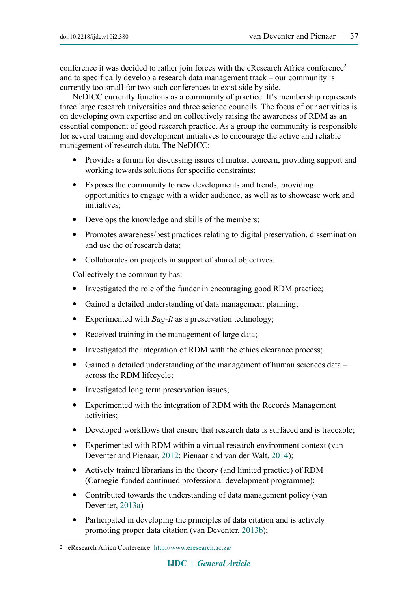conference it was decided to rather join forces with the eResearch Africa conference<sup>[2](#page-4-0)</sup> and to specifically develop a research data management track – our community is currently too small for two such conferences to exist side by side.

NeDICC currently functions as a community of practice. It's membership represents three large research universities and three science councils. The focus of our activities is on developing own expertise and on collectively raising the awareness of RDM as an essential component of good research practice. As a group the community is responsible for several training and development initiatives to encourage the active and reliable management of research data. The NeDICC:

- Provides a forum for discussing issues of mutual concern, providing support and working towards solutions for specific constraints;
- Exposes the community to new developments and trends, providing opportunities to engage with a wider audience, as well as to showcase work and initiatives;
- Develops the knowledge and skills of the members;
- Promotes awareness/best practices relating to digital preservation, dissemination and use the of research data;
- Collaborates on projects in support of shared objectives.

Collectively the community has:

- Investigated the role of the funder in encouraging good RDM practice;
- Gained a detailed understanding of data management planning;
- Experimented with *Bag-It* as a preservation technology;
- Received training in the management of large data;
- Investigated the integration of RDM with the ethics clearance process;
- Gained a detailed understanding of the management of human sciences data across the RDM lifecycle;
- Investigated long term preservation issues;
- Experimented with the integration of RDM with the Records Management activities;
- Developed workflows that ensure that research data is surfaced and is traceable;
- Experimented with RDM within a virtual research environment context (van Deventer and Pienaar, [2012;](#page-14-3) Pienaar and van der Walt, [2014\)](#page-13-3);
- Actively trained librarians in the theory (and limited practice) of RDM (Carnegie-funded continued professional development programme);
- Contributed towards the understanding of data management policy (van Deventer, [2013a\)](#page-14-2)
- Participated in developing the principles of data citation and is actively promoting proper data citation (van Deventer, [2013b\)](#page-14-1);

<span id="page-4-0"></span><sup>2</sup> eResearch Africa Conference: <http://www.eresearch.ac.za/>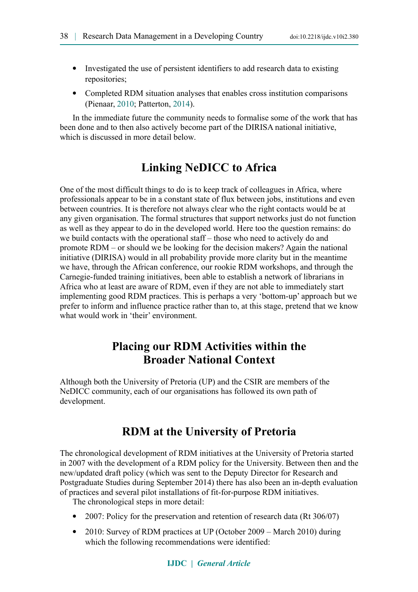- Investigated the use of persistent identifiers to add research data to existing repositories;
- Completed RDM situation analyses that enables cross institution comparisons (Pienaar, [2010;](#page-13-4) Patterton, [2014\)](#page-13-2).

In the immediate future the community needs to formalise some of the work that has been done and to then also actively become part of the DIRISA national initiative, which is discussed in more detail below.

### **Linking NeDICC to Africa**

One of the most difficult things to do is to keep track of colleagues in Africa, where professionals appear to be in a constant state of flux between jobs, institutions and even between countries. It is therefore not always clear who the right contacts would be at any given organisation. The formal structures that support networks just do not function as well as they appear to do in the developed world. Here too the question remains: do we build contacts with the operational staff – those who need to actively do and promote RDM – or should we be looking for the decision makers? Again the national initiative (DIRISA) would in all probability provide more clarity but in the meantime we have, through the African conference, our rookie RDM workshops, and through the Carnegie-funded training initiatives, been able to establish a network of librarians in Africa who at least are aware of RDM, even if they are not able to immediately start implementing good RDM practices. This is perhaps a very 'bottom-up' approach but we prefer to inform and influence practice rather than to, at this stage, pretend that we know what would work in 'their' environment.

### **Placing our RDM Activities within the Broader National Context**

Although both the University of Pretoria (UP) and the CSIR are members of the NeDICC community, each of our organisations has followed its own path of development.

### **RDM at the University of Pretoria**

The chronological development of RDM initiatives at the University of Pretoria started in 2007 with the development of a RDM policy for the University. Between then and the new/updated draft policy (which was sent to the Deputy Director for Research and Postgraduate Studies during September 2014) there has also been an in-depth evaluation of practices and several pilot installations of fit-for-purpose RDM initiatives.

The chronological steps in more detail:

- 2007: Policy for the preservation and retention of research data (Rt 306/07)
- 2010: Survey of RDM practices at UP (October 2009 March 2010) during which the following recommendations were identified: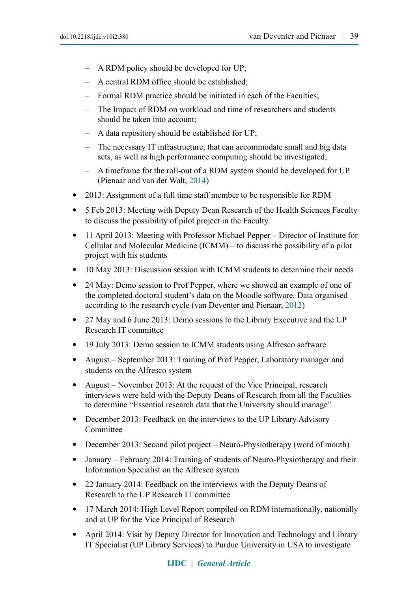- A RDM policy should be developed for UP;
- A central RDM office should be established;
- Formal RDM practice should be initiated in each of the Faculties;
- The Impact of RDM on workload and time of researchers and students should be taken into account;
- A data repository should be established for UP;
- The necessary IT infrastructure, that can accommodate small and big data sets, as well as high performance computing should be investigated;
- A timeframe for the roll-out of a RDM system should be developed for UP (Pienaar and van der Walt, [2014\)](#page-13-3)
- 2013: Assignment of a full time staff member to be responsible for RDM
- 5 Feb 2013: Meeting with Deputy Dean Research of the Health Sciences Faculty to discuss the possibility of pilot project in the Faculty
- 11 April 2013: Meeting with Professor Michael Pepper Director of Institute for Cellular and Molecular Medicine (ICMM) – to discuss the possibility of a pilot project with his students
- 10 May 2013: Discussion session with ICMM students to determine their needs
- 24 May: Demo session to Prof Pepper, where we showed an example of one of the completed doctoral student's data on the Moodle software. Data organised according to the research cycle (van Deventer and Pienaar, [2012\)](#page-14-3)
- 27 May and 6 June 2013: Demo sessions to the Library Executive and the UP Research IT committee
- 19 July 2013: Demo session to ICMM students using Alfresco software
- August September 2013: Training of Prof Pepper, Laboratory manager and students on the Alfresco system
- August November 2013: At the request of the Vice Principal, research interviews were held with the Deputy Deans of Research from all the Faculties to determine "Essential research data that the University should manage"
- December 2013: Feedback on the interviews to the UP Library Advisory Committee
- December 2013: Second pilot project Neuro-Physiotherapy (word of mouth)
- January February 2014: Training of students of Neuro-Physiotherapy and their Information Specialist on the Alfresco system
- 22 January 2014: Feedback on the interviews with the Deputy Deans of Research to the UP Research IT committee
- 17 March 2014: High Level Report compiled on RDM internationally, nationally and at UP for the Vice Principal of Research
- April 2014: Visit by Deputy Director for Innovation and Technology and Library IT Specialist (UP Library Services) to Purdue University in USA to investigate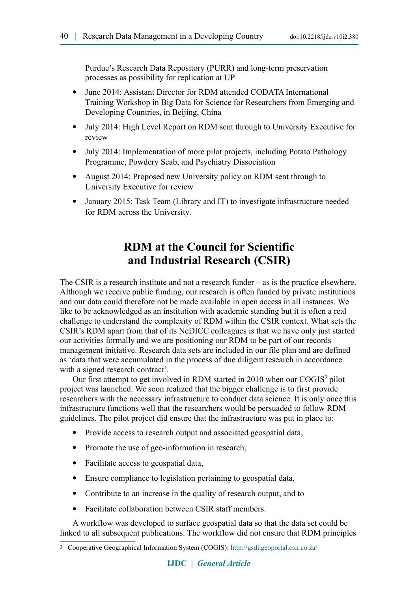Purdue's Research Data Repository (PURR) and long-term preservation processes as possibility for replication at UP

- June 2014: Assistant Director for RDM attended CODATA International Training Workshop in Big Data for Science for Researchers from Emerging and Developing Countries, in Beijing, China
- July 2014: High Level Report on RDM sent through to University Executive for review
- July 2014: Implementation of more pilot projects, including Potato Pathology Programme, Powdery Scab, and Psychiatry Dissociation
- August 2014: Proposed new University policy on RDM sent through to University Executive for review
- January 2015: Task Team (Library and IT) to investigate infrastructure needed for RDM across the University.

## **RDM at the Council for Scientific and Industrial Research (CSIR)**

The CSIR is a research institute and not a research funder – as is the practice elsewhere. Although we receive public funding, our research is often funded by private institutions and our data could therefore not be made available in open access in all instances. We like to be acknowledged as an institution with academic standing but it is often a real challenge to understand the complexity of RDM within the CSIR context. What sets the CSIR's RDM apart from that of its NeDICC colleagues is that we have only just started our activities formally and we are positioning our RDM to be part of our records management initiative. Research data sets are included in our file plan and are defined as 'data that were accumulated in the process of due diligent research in accordance with a signed research contract'*.*

Our first attempt to get involved in RDM started in 2010 when our COGIS<sup>[3](#page-7-0)</sup> pilot project was launched. We soon realized that the bigger challenge is to first provide researchers with the necessary infrastructure to conduct data science. It is only once this infrastructure functions well that the researchers would be persuaded to follow RDM guidelines. The pilot project did ensure that the infrastructure was put in place to:

- Provide access to research output and associated geospatial data,
- Promote the use of geo-information in research,
- Facilitate access to geospatial data,
- Ensure compliance to legislation pertaining to geospatial data,
- Contribute to an increase in the quality of research output, and to
- Facilitate collaboration between CSIR staff members.

A workflow was developed to surface geospatial data so that the data set could be linked to all subsequent publications. The workflow did not ensure that RDM principles

<span id="page-7-0"></span><sup>3</sup> Cooperative Geographical Information System (COGIS): <http://gsdi.geoportal.csir.co.za/>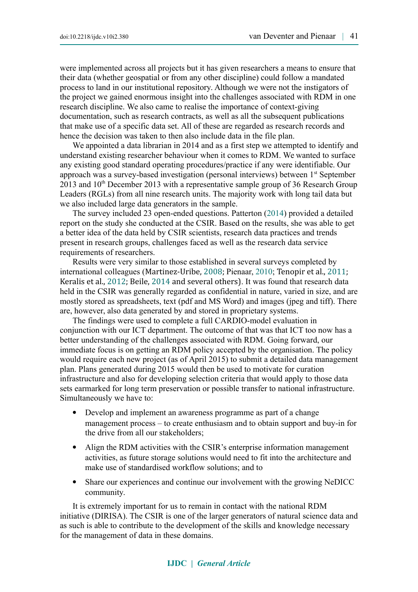were implemented across all projects but it has given researchers a means to ensure that their data (whether geospatial or from any other discipline) could follow a mandated process to land in our institutional repository. Although we were not the instigators of the project we gained enormous insight into the challenges associated with RDM in one research discipline. We also came to realise the importance of context-giving documentation, such as research contracts, as well as all the subsequent publications that make use of a specific data set. All of these are regarded as research records and hence the decision was taken to then also include data in the file plan.

We appointed a data librarian in 2014 and as a first step we attempted to identify and understand existing researcher behaviour when it comes to RDM. We wanted to surface any existing good standard operating procedures/practice if any were identifiable. Our approach was a survey-based investigation (personal interviews) between 1<sup>st</sup> September  $2013$  and  $10<sup>th</sup>$  December 2013 with a representative sample group of 36 Research Group Leaders (RGLs) from all nine research units. The majority work with long tail data but we also included large data generators in the sample.

The survey included 23 open-ended questions. Patterton [\(2014\)](#page-13-2) provided a detailed report on the study she conducted at the CSIR. Based on the results, she was able to get a better idea of the data held by CSIR scientists, research data practices and trends present in research groups, challenges faced as well as the research data service requirements of researchers.

Results were very similar to those established in several surveys completed by international colleagues (Martinez-Uribe, [2008;](#page-13-5) Pienaar, [2010;](#page-13-4) Tenopir et al., [2011;](#page-14-4) Keralis et al., [2012;](#page-12-3) Beile, [2014](#page-12-2) and several others). It was found that research data held in the CSIR was generally regarded as confidential in nature, varied in size, and are mostly stored as spreadsheets, text (pdf and MS Word) and images (jpeg and tiff). There are, however, also data generated by and stored in proprietary systems.

The findings were used to complete a full CARDIO-model evaluation in conjunction with our ICT department. The outcome of that was that ICT too now has a better understanding of the challenges associated with RDM. Going forward, our immediate focus is on getting an RDM policy accepted by the organisation. The policy would require each new project (as of April 2015) to submit a detailed data management plan. Plans generated during 2015 would then be used to motivate for curation infrastructure and also for developing selection criteria that would apply to those data sets earmarked for long term preservation or possible transfer to national infrastructure. Simultaneously we have to:

- Develop and implement an awareness programme as part of a change management process – to create enthusiasm and to obtain support and buy-in for the drive from all our stakeholders;
- Align the RDM activities with the CSIR's enterprise information management activities, as future storage solutions would need to fit into the architecture and make use of standardised workflow solutions; and to
- Share our experiences and continue our involvement with the growing NeDICC community.

It is extremely important for us to remain in contact with the national RDM initiative (DIRISA). The CSIR is one of the larger generators of natural science data and as such is able to contribute to the development of the skills and knowledge necessary for the management of data in these domains.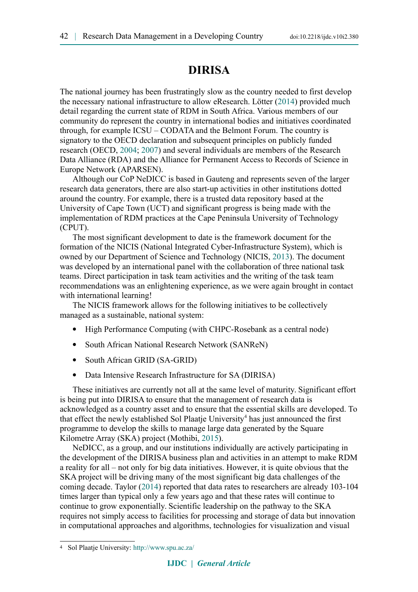### **DIRISA**

The national journey has been frustratingly slow as the country needed to first develop the necessary national infrastructure to allow eResearch. Lötter [\(2014\)](#page-13-1) provided much detail regarding the current state of RDM in South Africa. Various members of our community do represent the country in international bodies and initiatives coordinated through, for example ICSU – CODATA and the Belmont Forum. The country is signatory to the OECD declaration and subsequent principles on publicly funded research (OECD, [2004;](#page-13-8) [2007\)](#page-13-7) and several individuals are members of the Research Data Alliance (RDA) and the Alliance for Permanent Access to Records of Science in Europe Network (APARSEN).

Although our CoP NeDICC is based in Gauteng and represents seven of the larger research data generators, there are also start-up activities in other institutions dotted around the country. For example, there is a trusted data repository based at the University of Cape Town (UCT) and significant progress is being made with the implementation of RDM practices at the Cape Peninsula University of Technology (CPUT).

The most significant development to date is the framework document for the formation of the NICIS (National Integrated Cyber-Infrastructure System), which is owned by our Department of Science and Technology (NICIS, [2013\)](#page-13-6). The document was developed by an international panel with the collaboration of three national task teams. Direct participation in task team activities and the writing of the task team recommendations was an enlightening experience, as we were again brought in contact with international learning!

The NICIS framework allows for the following initiatives to be collectively managed as a sustainable, national system:

- High Performance Computing (with CHPC-Rosebank as a central node)
- South African National Research Network (SANReN)
- South African GRID (SA-GRID)
- Data Intensive Research Infrastructure for SA (DIRISA)

These initiatives are currently not all at the same level of maturity. Significant effort is being put into DIRISA to ensure that the management of research data is acknowledged as a country asset and to ensure that the essential skills are developed. To that effect the newly established Sol Plaatje University<sup>[4](#page-9-0)</sup> has just announced the first programme to develop the skills to manage large data generated by the Square Kilometre Array (SKA) project (Mothibi, [2015\)](#page-14-6).

NeDICC, as a group, and our institutions individually are actively participating in the development of the DIRISA business plan and activities in an attempt to make RDM a reality for all – not only for big data initiatives. However, it is quite obvious that the SKA project will be driving many of the most significant big data challenges of the coming decade. Taylor [\(2014\)](#page-14-5) reported that data rates to researchers are already 103-104 times larger than typical only a few years ago and that these rates will continue to continue to grow exponentially. Scientific leadership on the pathway to the SKA requires not simply access to facilities for processing and storage of data but innovation in computational approaches and algorithms, technologies for visualization and visual

<span id="page-9-0"></span><sup>4</sup> Sol Plaatje University: <http://www.spu.ac.za/>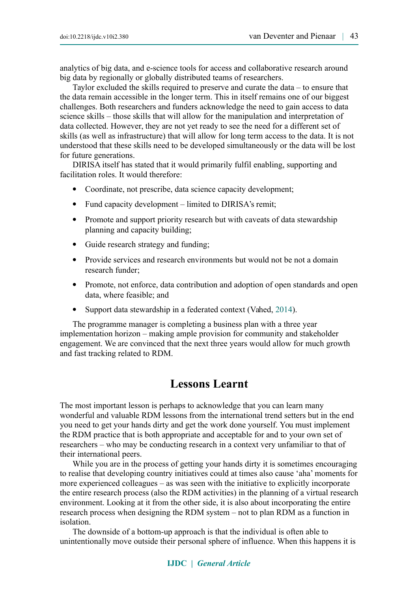analytics of big data, and e-science tools for access and collaborative research around big data by regionally or globally distributed teams of researchers.

Taylor excluded the skills required to preserve and curate the data – to ensure that the data remain accessible in the longer term. This in itself remains one of our biggest challenges. Both researchers and funders acknowledge the need to gain access to data science skills – those skills that will allow for the manipulation and interpretation of data collected. However, they are not yet ready to see the need for a different set of skills (as well as infrastructure) that will allow for long term access to the data. It is not understood that these skills need to be developed simultaneously or the data will be lost for future generations.

DIRISA itself has stated that it would primarily fulfil enabling, supporting and facilitation roles. It would therefore:

- Coordinate, not prescribe, data science capacity development;
- Fund capacity development limited to DIRISA's remit;
- Promote and support priority research but with caveats of data stewardship planning and capacity building;
- Guide research strategy and funding;
- Provide services and research environments but would not be not a domain research funder;
- Promote, not enforce, data contribution and adoption of open standards and open data, where feasible; and
- Support data stewardship in a federated context (Vahed, [2014\)](#page-14-7).

The programme manager is completing a business plan with a three year implementation horizon – making ample provision for community and stakeholder engagement. We are convinced that the next three years would allow for much growth and fast tracking related to RDM.

### **Lessons Learnt**

The most important lesson is perhaps to acknowledge that you can learn many wonderful and valuable RDM lessons from the international trend setters but in the end you need to get your hands dirty and get the work done yourself. You must implement the RDM practice that is both appropriate and acceptable for and to your own set of researchers – who may be conducting research in a context very unfamiliar to that of their international peers.

While you are in the process of getting your hands dirty it is sometimes encouraging to realise that developing country initiatives could at times also cause 'aha' moments for more experienced colleagues – as was seen with the initiative to explicitly incorporate the entire research process (also the RDM activities) in the planning of a virtual research environment. Looking at it from the other side, it is also about incorporating the entire research process when designing the RDM system – not to plan RDM as a function in isolation.

The downside of a bottom-up approach is that the individual is often able to unintentionally move outside their personal sphere of influence. When this happens it is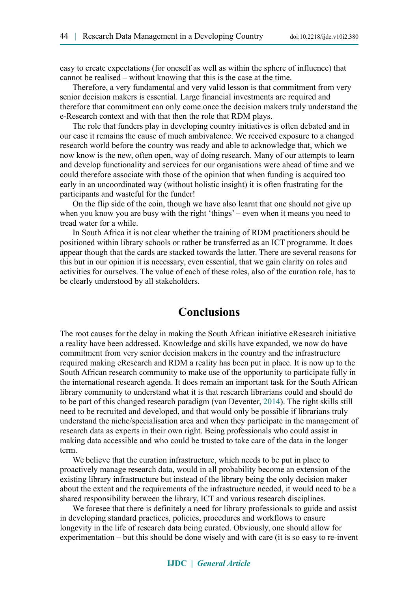easy to create expectations (for oneself as well as within the sphere of influence) that cannot be realised – without knowing that this is the case at the time.

Therefore, a very fundamental and very valid lesson is that commitment from very senior decision makers is essential. Large financial investments are required and therefore that commitment can only come once the decision makers truly understand the e-Research context and with that then the role that RDM plays.

The role that funders play in developing country initiatives is often debated and in our case it remains the cause of much ambivalence. We received exposure to a changed research world before the country was ready and able to acknowledge that, which we now know is the new, often open, way of doing research. Many of our attempts to learn and develop functionality and services for our organisations were ahead of time and we could therefore associate with those of the opinion that when funding is acquired too early in an uncoordinated way (without holistic insight) it is often frustrating for the participants and wasteful for the funder!

On the flip side of the coin, though we have also learnt that one should not give up when you know you are busy with the right 'things' – even when it means you need to tread water for a while.

In South Africa it is not clear whether the training of RDM practitioners should be positioned within library schools or rather be transferred as an ICT programme. It does appear though that the cards are stacked towards the latter. There are several reasons for this but in our opinion it is necessary, even essential, that we gain clarity on roles and activities for ourselves. The value of each of these roles, also of the curation role, has to be clearly understood by all stakeholders.

### **Conclusions**

The root causes for the delay in making the South African initiative eResearch initiative a reality have been addressed. Knowledge and skills have expanded, we now do have commitment from very senior decision makers in the country and the infrastructure required making eResearch and RDM a reality has been put in place. It is now up to the South African research community to make use of the opportunity to participate fully in the international research agenda. It does remain an important task for the South African library community to understand what it is that research librarians could and should do to be part of this changed research paradigm (van Deventer, [2014\)](#page-14-8). The right skills still need to be recruited and developed, and that would only be possible if librarians truly understand the niche/specialisation area and when they participate in the management of research data as experts in their own right. Being professionals who could assist in making data accessible and who could be trusted to take care of the data in the longer term.

We believe that the curation infrastructure, which needs to be put in place to proactively manage research data, would in all probability become an extension of the existing library infrastructure but instead of the library being the only decision maker about the extent and the requirements of the infrastructure needed, it would need to be a shared responsibility between the library, ICT and various research disciplines.

We foresee that there is definitely a need for library professionals to guide and assist in developing standard practices, policies, procedures and workflows to ensure longevity in the life of research data being curated. Obviously, one should allow for experimentation – but this should be done wisely and with care (it is so easy to re-invent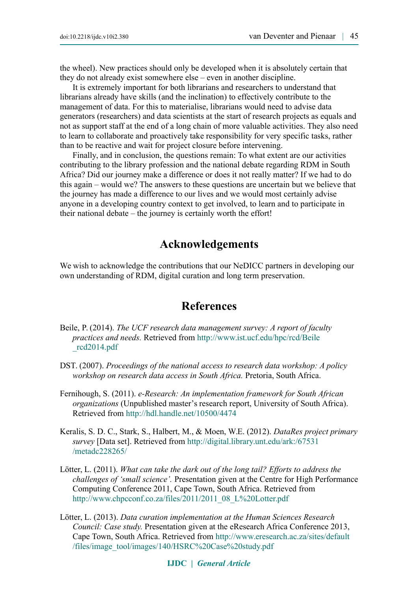the wheel). New practices should only be developed when it is absolutely certain that they do not already exist somewhere else – even in another discipline.

It is extremely important for both librarians and researchers to understand that librarians already have skills (and the inclination) to effectively contribute to the management of data. For this to materialise, librarians would need to advise data generators (researchers) and data scientists at the start of research projects as equals and not as support staff at the end of a long chain of more valuable activities. They also need to learn to collaborate and proactively take responsibility for very specific tasks, rather than to be reactive and wait for project closure before intervening.

Finally, and in conclusion, the questions remain: To what extent are our activities contributing to the library profession and the national debate regarding RDM in South Africa? Did our journey make a difference or does it not really matter? If we had to do this again – would we? The answers to these questions are uncertain but we believe that the journey has made a difference to our lives and we would most certainly advise anyone in a developing country context to get involved, to learn and to participate in their national debate – the journey is certainly worth the effort!

### **Acknowledgements**

We wish to acknowledge the contributions that our NeDICC partners in developing our own understanding of RDM, digital curation and long term preservation.

### **References**

- <span id="page-12-2"></span>Beile, P. (2014). *The UCF research data management survey: A report of faculty practices and needs.* Retrieved from [http://www.ist.ucf.edu/hpc/rcd/Beile](http://www.ist.ucf.edu/hpc/rcd/Beile_rcd2014.pdf) [\\_rcd2014.pdf](http://www.ist.ucf.edu/hpc/rcd/Beile_rcd2014.pdf)
- DST. (2007). *Proceedings of the national access to research data workshop: A policy workshop on research data access in South Africa.* Pretoria, South Africa.
- <span id="page-12-1"></span>Fernihough, S. (2011). *e-Research: An implementation framework for South African organizations* (Unpublished master's research report, University of South Africa). Retrieved from <http://hdl.handle.net/10500/4474>
- <span id="page-12-3"></span>Keralis, S. D. C., Stark, S., Halbert, M., & Moen, W.E. (2012). *DataRes project primary survey* [Data set]. Retrieved from [http://digital.library.unt.edu/ark:/67531](http://digital.library.unt.edu/ark:/67531/metadc228265/) [/metadc228265/](http://digital.library.unt.edu/ark:/67531/metadc228265/)
- <span id="page-12-0"></span>Lötter, L. (2011). *What can take the dark out of the long tail? Efforts to address the challenges of 'small science'.* Presentation given at the Centre for High Performance Computing Conference 2011, Cape Town, South Africa. Retrieved from [http://www.chpcconf.co.za/files/2011/2011\\_08\\_L%20Lotter.pdf](http://www.chpcconf.co.za/files/2011/2011_08_L%20Lotter.pdf)
- Lötter, L. (2013). *Data curation implementation at the Human Sciences Research Council: Case study.* Presentation given at the eResearch Africa Conference 2013, Cape Town, South Africa. Retrieved from [http://www.eresearch.ac.za/sites/default](http://www.eresearch.ac.za/sites/default/files/image_tool/images/140/HSRC%20Case%20study.pdf) [/files/image\\_tool/images/140/HSRC%20Case%20study.pdf](http://www.eresearch.ac.za/sites/default/files/image_tool/images/140/HSRC%20Case%20study.pdf)

#### **IJDC |** *General Article*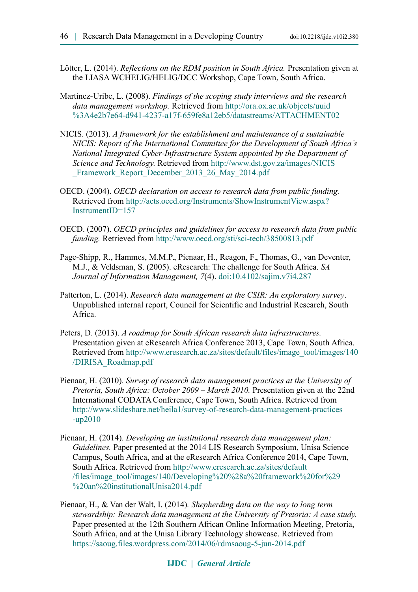- <span id="page-13-1"></span>Lötter, L. (2014). *Reflections on the RDM position in South Africa.* Presentation given at the LIASA WCHELIG/HELIG/DCC Workshop, Cape Town, South Africa.
- <span id="page-13-5"></span>Martinez-Uribe, L. (2008). *Findings of the scoping study interviews and the research data management workshop.* Retrieved from [http://ora.ox.ac.uk/objects/uuid](http://ora.ox.ac.uk/objects/uuid%3A4e2b7e64-d941-4237-a17f-659fe8a12eb5/datastreams/ATTACHMENT02) [%3A4e2b7e64-d941-4237-a17f-659fe8a12eb5/datastreams/ATTACHMENT02](http://ora.ox.ac.uk/objects/uuid%3A4e2b7e64-d941-4237-a17f-659fe8a12eb5/datastreams/ATTACHMENT02)
- <span id="page-13-6"></span>NICIS. (2013). *A framework for the establishment and maintenance of a sustainable NICIS: Report of the International Committee for the Development of South Africa's National Integrated Cyber-Infrastructure System appointed by the Department of Science and Technology.* Retrieved from [http://www.dst.gov.za/images/NICIS](http://www.dst.gov.za/images/NICIS_Framework_Report_December_2013_26_May_2014.pdf) Framework Report December 2013 26 May 2014.pdf
- <span id="page-13-8"></span>OECD. (2004). *OECD declaration on access to research data from public funding.* Retrieved from [http://acts.oecd.org/Instruments/ShowInstrumentView.aspx?](http://acts.oecd.org/Instruments/ShowInstrumentView.aspx?InstrumentID=157) [InstrumentID=157](http://acts.oecd.org/Instruments/ShowInstrumentView.aspx?InstrumentID=157)
- <span id="page-13-7"></span>OECD. (2007). *OECD principles and guidelines for access to research data from public funding.* Retrieved from <http://www.oecd.org/sti/sci-tech/38500813.pdf>
- <span id="page-13-0"></span>Page-Shipp, R., Hammes, M.M.P., Pienaar, H., Reagon, F., Thomas, G., van Deventer, M.J., & Veldsman, S. (2005). eResearch: The challenge for South Africa. *SA Journal of Information Management, 7*(4). [doi:10.4102/sajim.v7i4.287](http://dx.doi.org/10.4102/sajim.v7i4.287)
- <span id="page-13-2"></span>Patterton, L. (2014). *Research data management at the CSIR: An exploratory survey*. Unpublished internal report, Council for Scientific and Industrial Research, South Africa.
- Peters, D. (2013). *A roadmap for South African research data infrastructures.* Presentation given at eResearch Africa Conference 2013, Cape Town, South Africa. Retrieved from [http://www.eresearch.ac.za/sites/default/files/image\\_tool/images/140](http://www.eresearch.ac.za/sites/default/files/image_tool/images/140/DIRISA_Roadmap.pdf) [/DIRISA\\_Roadmap.pdf](http://www.eresearch.ac.za/sites/default/files/image_tool/images/140/DIRISA_Roadmap.pdf)
- <span id="page-13-4"></span>Pienaar, H. (2010). *Survey of research data management practices at the University of Pretoria, South Africa: October 2009 – March 2010.* Presentation given at the 22nd International CODATA Conference, Cape Town, South Africa. Retrieved from [http://www.slideshare.net/heila1/survey-of-research-data-management-practices](http://www.slideshare.net/heila1/survey-of-research-data-management-practices-up2010) [-up2010](http://www.slideshare.net/heila1/survey-of-research-data-management-practices-up2010)
- Pienaar, H. (2014). *Developing an institutional research data management plan: Guidelines.* Paper presented at the 2014 LIS Research Symposium, Unisa Science Campus, South Africa, and at the eResearch Africa Conference 2014, Cape Town, South Africa. Retrieved from [http://www.eresearch.ac.za/sites/default](http://www.eresearch.ac.za/sites/default/files/image_tool/images/140/Developing%20(a%20framework%20for)%20an%20institutionalUnisa2014.pdf) [/files/image\\_tool/images/140/Developing%20%28a%20framework%20for%29](http://www.eresearch.ac.za/sites/default/files/image_tool/images/140/Developing%20(a%20framework%20for)%20an%20institutionalUnisa2014.pdf) [%20an%20institutionalUnisa2014.pdf](http://www.eresearch.ac.za/sites/default/files/image_tool/images/140/Developing%20(a%20framework%20for)%20an%20institutionalUnisa2014.pdf)
- <span id="page-13-3"></span>Pienaar, H., & Van der Walt, I. (2014)*. Shepherding data on the way to long term stewardship: Research data management at the University of Pretoria: A case study.* Paper presented at the 12th Southern African Online Information Meeting, Pretoria, South Africa, and at the Unisa Library Technology showcase. Retrieved from <https://saoug.files.wordpress.com/2014/06/rdmsaoug-5-jun-2014.pdf>

#### **IJDC |** *General Article*